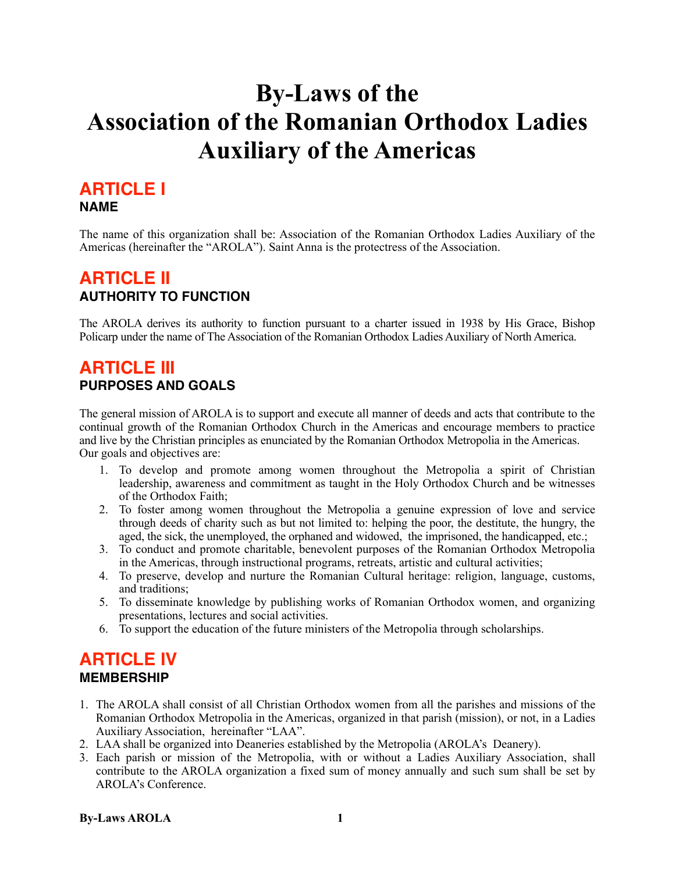# **By-Laws of the Association of the Romanian Orthodox Ladies Auxiliary of the Americas**

## **ARTICLE I NAME**

The name of this organization shall be: Association of the Romanian Orthodox Ladies Auxiliary of the Americas (hereinafter the "AROLA"). Saint Anna is the protectress of the Association.

# **ARTICLE II AUTHORITY TO FUNCTION**

The AROLA derives its authority to function pursuant to a charter issued in 1938 by His Grace, Bishop Policarp under the name of The Association of the Romanian Orthodox Ladies Auxiliary of North America.

# **ARTICLE III PURPOSES AND GOALS**

The general mission of AROLA is to support and execute all manner of deeds and acts that contribute to the continual growth of the Romanian Orthodox Church in the Americas and encourage members to practice and live by the Christian principles as enunciated by the Romanian Orthodox Metropolia in the Americas. Our goals and objectives are:

- 1. To develop and promote among women throughout the Metropolia a spirit of Christian leadership, awareness and commitment as taught in the Holy Orthodox Church and be witnesses of the Orthodox Faith;
- 2. To foster among women throughout the Metropolia a genuine expression of love and service through deeds of charity such as but not limited to: helping the poor, the destitute, the hungry, the aged, the sick, the unemployed, the orphaned and widowed, the imprisoned, the handicapped, etc.;
- 3. To conduct and promote charitable, benevolent purposes of the Romanian Orthodox Metropolia in the Americas, through instructional programs, retreats, artistic and cultural activities;
- 4. To preserve, develop and nurture the Romanian Cultural heritage: religion, language, customs, and traditions;
- 5. To disseminate knowledge by publishing works of Romanian Orthodox women, and organizing presentations, lectures and social activities.
- 6. To support the education of the future ministers of the Metropolia through scholarships.

# **ARTICLE IV MEMBERSHIP**

- 1. The AROLA shall consist of all Christian Orthodox women from all the parishes and missions of the Romanian Orthodox Metropolia in the Americas, organized in that parish (mission), or not, in a Ladies Auxiliary Association, hereinafter "LAA".
- 2. LAA shall be organized into Deaneries established by the Metropolia (AROLA's Deanery).
- 3. Each parish or mission of the Metropolia, with or without a Ladies Auxiliary Association, shall contribute to the AROLA organization a fixed sum of money annually and such sum shall be set by AROLA's Conference.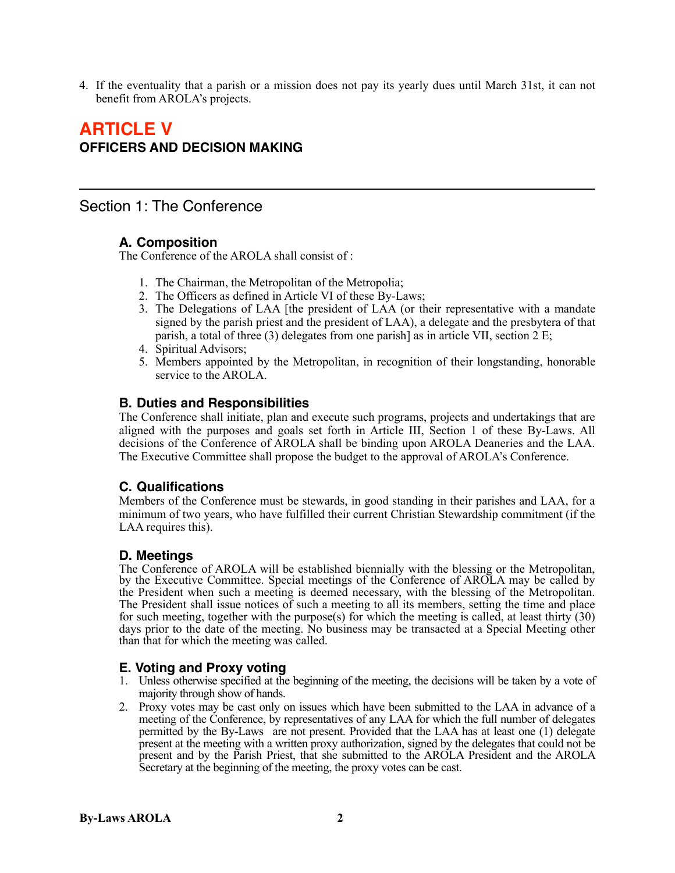4. If the eventuality that a parish or a mission does not pay its yearly dues until March 31st, it can not benefit from AROLA's projects.

## **ARTICLE V OFFICERS AND DECISION MAKING**

## Section 1: The Conference

## **A. Composition**

The Conference of the AROLA shall consist of :

- 1. The Chairman, the Metropolitan of the Metropolia;
- 2. The Officers as defined in Article VI of these By-Laws;
- 3. The Delegations of LAA [the president of LAA (or their representative with a mandate signed by the parish priest and the president of LAA), a delegate and the presbytera of that parish, a total of three (3) delegates from one parish] as in article VII, section 2 E;
- 4. Spiritual Advisors;
- 5. Members appointed by the Metropolitan, in recognition of their longstanding, honorable service to the AROLA.

#### **B. Duties and Responsibilities**

The Conference shall initiate, plan and execute such programs, projects and undertakings that are aligned with the purposes and goals set forth in Article III, Section 1 of these By-Laws. All decisions of the Conference of AROLA shall be binding upon AROLA Deaneries and the LAA. The Executive Committee shall propose the budget to the approval of AROLA's Conference.

## **C. Qualifications**

Members of the Conference must be stewards, in good standing in their parishes and LAA, for a minimum of two years, who have fulfilled their current Christian Stewardship commitment (if the LAA requires this).

## **D. Meetings**

The Conference of AROLA will be established biennially with the blessing or the Metropolitan, by the Executive Committee. Special meetings of the Conference of AROLA may be called by the President when such a meeting is deemed necessary, with the blessing of the Metropolitan. The President shall issue notices of such a meeting to all its members, setting the time and place for such meeting, together with the purpose(s) for which the meeting is called, at least thirty (30) days prior to the date of the meeting. No business may be transacted at a Special Meeting other than that for which the meeting was called.

## **E. Voting and Proxy voting**

- 1. Unless otherwise specified at the beginning of the meeting, the decisions will be taken by a vote of majority through show of hands.
- 2. Proxy votes may be cast only on issues which have been submitted to the LAA in advance of a meeting of the Conference, by representatives of any LAA for which the full number of delegates permitted by the By-Laws are not present. Provided that the LAA has at least one (1) delegate present at the meeting with a written proxy authorization, signed by the delegates that could not be present and by the Parish Priest, that she submitted to the AROLA President and the AROLA Secretary at the beginning of the meeting, the proxy votes can be cast.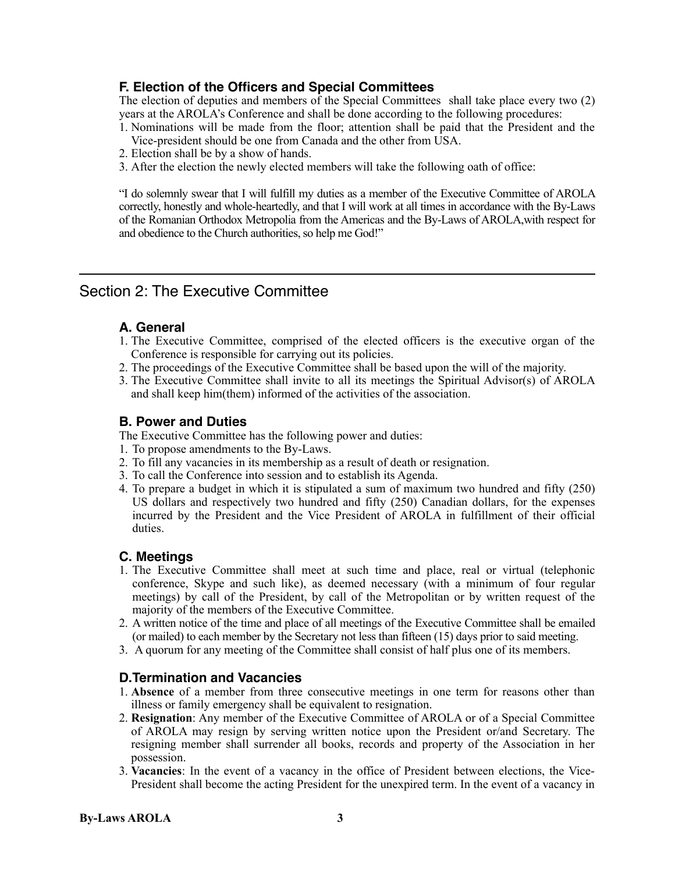## **F. Election of the Officers and Special Committees**

The election of deputies and members of the Special Committees shall take place every two (2) years at the AROLA's Conference and shall be done according to the following procedures:

- 1. Nominations will be made from the floor; attention shall be paid that the President and the Vice-president should be one from Canada and the other from USA.
- 2. Election shall be by a show of hands.
- 3. After the election the newly elected members will take the following oath of office:

"I do solemnly swear that I will fulfill my duties as a member of the Executive Committee of AROLA correctly, honestly and whole-heartedly, and that I will work at all times in accordance with the By-Laws of the Romanian Orthodox Metropolia from the Americas and the By-Laws of AROLA,with respect for and obedience to the Church authorities, so help me God!"

## Section 2: The Executive Committee

## **A. General**

- 1. The Executive Committee, comprised of the elected officers is the executive organ of the Conference is responsible for carrying out its policies.
- 2. The proceedings of the Executive Committee shall be based upon the will of the majority.
- 3. The Executive Committee shall invite to all its meetings the Spiritual Advisor(s) of AROLA and shall keep him(them) informed of the activities of the association.

#### **B. Power and Duties**

The Executive Committee has the following power and duties:

- 1. To propose amendments to the By-Laws.
- 2. To fill any vacancies in its membership as a result of death or resignation.
- 3. To call the Conference into session and to establish its Agenda.
- 4. To prepare a budget in which it is stipulated a sum of maximum two hundred and fifty (250) US dollars and respectively two hundred and fifty (250) Canadian dollars, for the expenses incurred by the President and the Vice President of AROLA in fulfillment of their official duties.

## **C. Meetings**

- 1. The Executive Committee shall meet at such time and place, real or virtual (telephonic conference, Skype and such like), as deemed necessary (with a minimum of four regular meetings) by call of the President, by call of the Metropolitan or by written request of the majority of the members of the Executive Committee.
- 2. A written notice of the time and place of all meetings of the Executive Committee shall be emailed (or mailed) to each member by the Secretary not less than fifteen (15) days prior to said meeting.
- 3. A quorum for any meeting of the Committee shall consist of half plus one of its members.

## **D.Termination and Vacancies**

- 1. **Absence** of a member from three consecutive meetings in one term for reasons other than illness or family emergency shall be equivalent to resignation.
- 2. **Resignation**: Any member of the Executive Committee of AROLA or of a Special Committee of AROLA may resign by serving written notice upon the President or/and Secretary. The resigning member shall surrender all books, records and property of the Association in her possession.
- 3. **Vacancies**: In the event of a vacancy in the office of President between elections, the Vice-President shall become the acting President for the unexpired term. In the event of a vacancy in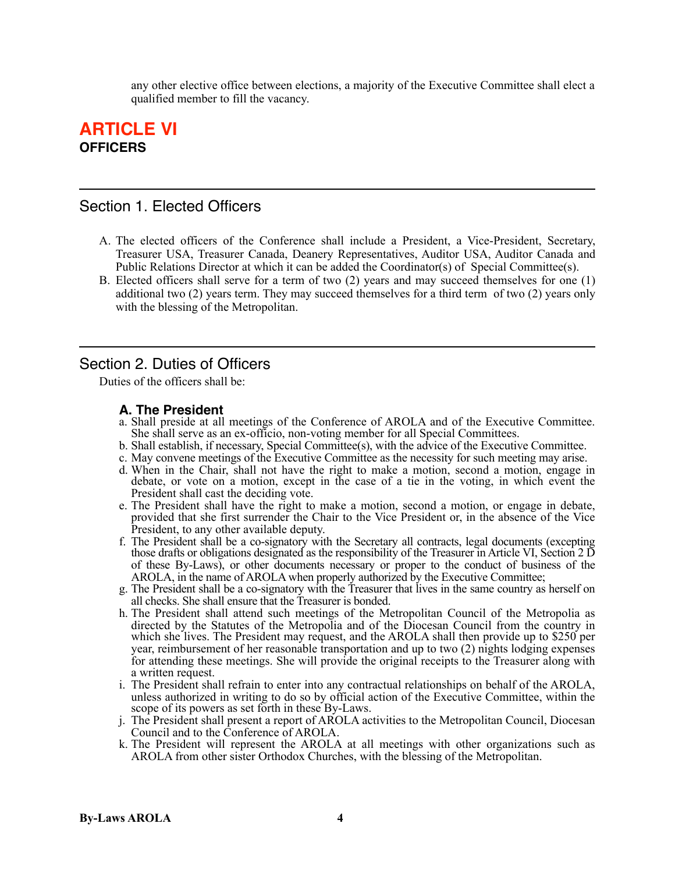any other elective office between elections, a majority of the Executive Committee shall elect a qualified member to fill the vacancy.

## **ARTICLE VI OFFICERS**

## Section 1. Elected Officers

- A. The elected officers of the Conference shall include a President, a Vice-President, Secretary, Treasurer USA, Treasurer Canada, Deanery Representatives, Auditor USA, Auditor Canada and Public Relations Director at which it can be added the Coordinator(s) of Special Committee(s).
- B. Elected officers shall serve for a term of two (2) years and may succeed themselves for one (1) additional two (2) years term. They may succeed themselves for a third term of two (2) years only with the blessing of the Metropolitan.

## Section 2. Duties of Officers

Duties of the officers shall be:

## **A. The President**

- a. Shall preside at all meetings of the Conference of AROLA and of the Executive Committee. She shall serve as an ex-officio, non-voting member for all Special Committees.
- b. Shall establish, if necessary, Special Committee(s), with the advice of the Executive Committee.
- c. May convene meetings of the Executive Committee as the necessity for such meeting may arise.
- d. When in the Chair, shall not have the right to make a motion, second a motion, engage in debate, or vote on a motion, except in the case of a tie in the voting, in which event the President shall cast the deciding vote.
- e. The President shall have the right to make a motion, second a motion, or engage in debate, provided that she first surrender the Chair to the Vice President or, in the absence of the Vice President, to any other available deputy.
- f. The President shall be a co-signatory with the Secretary all contracts, legal documents (excepting those drafts or obligations designated as the responsibility of the Treasurer in Article VI, Section 2 D of these By-Laws), or other documents necessary or proper to the conduct of business of the AROLA, in the name of AROLA when properly authorized by the Executive Committee;
- g. The President shall be a co-signatory with the Treasurer that lives in the same country as herself on all checks. She shall ensure that the Treasurer is bonded.
- h. The President shall attend such meetings of the Metropolitan Council of the Metropolia as directed by the Statutes of the Metropolia and of the Diocesan Council from the country in which she lives. The President may request, and the AROLA shall then provide up to \$250 per year, reimbursement of her reasonable transportation and up to two (2) nights lodging expenses for attending these meetings. She will provide the original receipts to the Treasurer along with a written request.
- i. The President shall refrain to enter into any contractual relationships on behalf of the AROLA, unless authorized in writing to do so by official action of the Executive Committee, within the scope of its powers as set forth in these By-Laws.
- j. The President shall present a report of AROLA activities to the Metropolitan Council, Diocesan Council and to the Conference of AROLA.
- k. The President will represent the AROLA at all meetings with other organizations such as AROLA from other sister Orthodox Churches, with the blessing of the Metropolitan.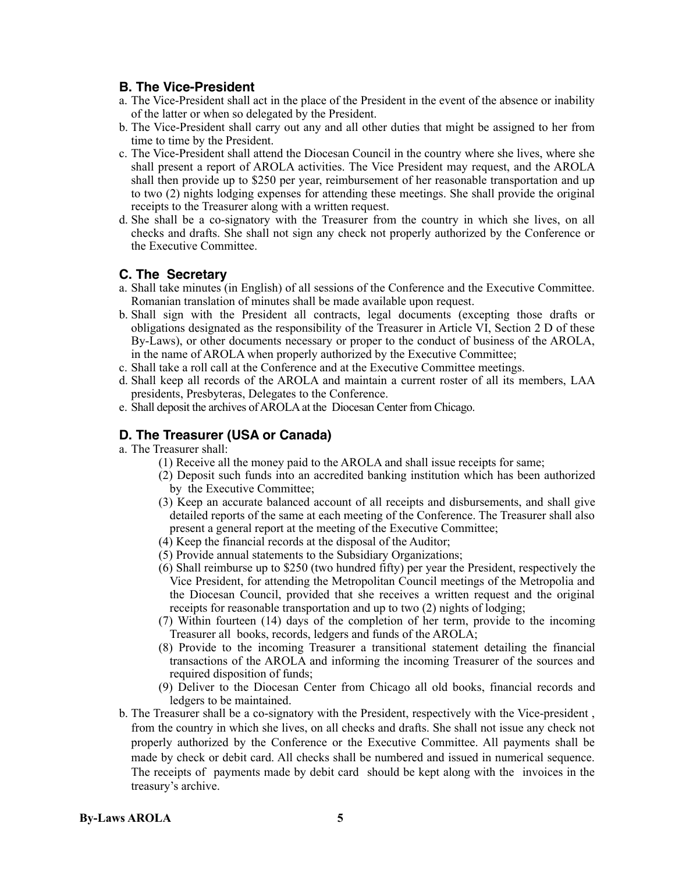#### **B. The Vice-President**

- a. The Vice-President shall act in the place of the President in the event of the absence or inability of the latter or when so delegated by the President.
- b. The Vice-President shall carry out any and all other duties that might be assigned to her from time to time by the President.
- c. The Vice-President shall attend the Diocesan Council in the country where she lives, where she shall present a report of AROLA activities. The Vice President may request, and the AROLA shall then provide up to \$250 per year, reimbursement of her reasonable transportation and up to two (2) nights lodging expenses for attending these meetings. She shall provide the original receipts to the Treasurer along with a written request.
- d. She shall be a co-signatory with the Treasurer from the country in which she lives, on all checks and drafts. She shall not sign any check not properly authorized by the Conference or the Executive Committee.

#### **C. The Secretary**

- a. Shall take minutes (in English) of all sessions of the Conference and the Executive Committee. Romanian translation of minutes shall be made available upon request.
- b. Shall sign with the President all contracts, legal documents (excepting those drafts or obligations designated as the responsibility of the Treasurer in Article VI, Section 2 D of these By-Laws), or other documents necessary or proper to the conduct of business of the AROLA, in the name of AROLA when properly authorized by the Executive Committee;
- c. Shall take a roll call at the Conference and at the Executive Committee meetings.
- d. Shall keep all records of the AROLA and maintain a current roster of all its members, LAA presidents, Presbyteras, Delegates to the Conference.
- e. Shall deposit the archives of AROLA at the Diocesan Center from Chicago.

## **D. The Treasurer (USA or Canada)**

a. The Treasurer shall:

- (1) Receive all the money paid to the AROLA and shall issue receipts for same;
- (2) Deposit such funds into an accredited banking institution which has been authorized by the Executive Committee;
- (3) Keep an accurate balanced account of all receipts and disbursements, and shall give detailed reports of the same at each meeting of the Conference. The Treasurer shall also present a general report at the meeting of the Executive Committee;
- (4) Keep the financial records at the disposal of the Auditor;
- (5) Provide annual statements to the Subsidiary Organizations;
- (6) Shall reimburse up to \$250 (two hundred fifty) per year the President, respectively the Vice President, for attending the Metropolitan Council meetings of the Metropolia and the Diocesan Council, provided that she receives a written request and the original receipts for reasonable transportation and up to two (2) nights of lodging;
- (7) Within fourteen (14) days of the completion of her term, provide to the incoming Treasurer all books, records, ledgers and funds of the AROLA;
- (8) Provide to the incoming Treasurer a transitional statement detailing the financial transactions of the AROLA and informing the incoming Treasurer of the sources and required disposition of funds;
- (9) Deliver to the Diocesan Center from Chicago all old books, financial records and ledgers to be maintained.
- b. The Treasurer shall be a co-signatory with the President, respectively with the Vice-president , from the country in which she lives, on all checks and drafts. She shall not issue any check not properly authorized by the Conference or the Executive Committee. All payments shall be made by check or debit card. All checks shall be numbered and issued in numerical sequence. The receipts of payments made by debit card should be kept along with the invoices in the treasury's archive.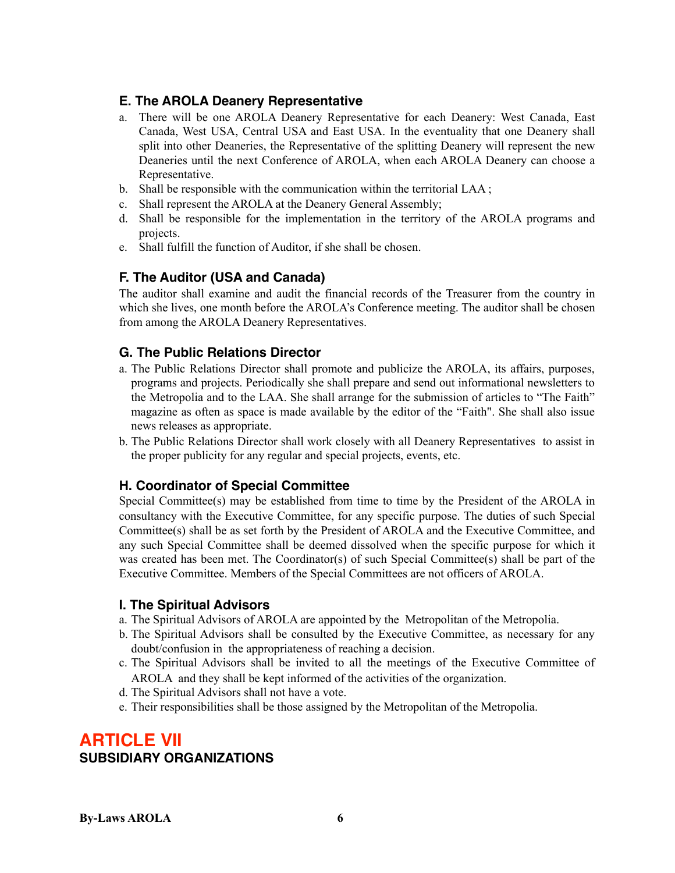## **E. The AROLA Deanery Representative**

- a. There will be one AROLA Deanery Representative for each Deanery: West Canada, East Canada, West USA, Central USA and East USA. In the eventuality that one Deanery shall split into other Deaneries, the Representative of the splitting Deanery will represent the new Deaneries until the next Conference of AROLA, when each AROLA Deanery can choose a Representative.
- b. Shall be responsible with the communication within the territorial LAA ;
- c. Shall represent the AROLA at the Deanery General Assembly;
- d. Shall be responsible for the implementation in the territory of the AROLA programs and projects.
- e. Shall fulfill the function of Auditor, if she shall be chosen.

## **F. The Auditor (USA and Canada)**

The auditor shall examine and audit the financial records of the Treasurer from the country in which she lives, one month before the AROLA's Conference meeting. The auditor shall be chosen from among the AROLA Deanery Representatives.

## **G. The Public Relations Director**

- a. The Public Relations Director shall promote and publicize the AROLA, its affairs, purposes, programs and projects. Periodically she shall prepare and send out informational newsletters to the Metropolia and to the LAA. She shall arrange for the submission of articles to "The Faith" magazine as often as space is made available by the editor of the "Faith". She shall also issue news releases as appropriate.
- b. The Public Relations Director shall work closely with all Deanery Representatives to assist in the proper publicity for any regular and special projects, events, etc.

## **H. Coordinator of Special Committee**

Special Committee(s) may be established from time to time by the President of the AROLA in consultancy with the Executive Committee, for any specific purpose. The duties of such Special Committee(s) shall be as set forth by the President of AROLA and the Executive Committee, and any such Special Committee shall be deemed dissolved when the specific purpose for which it was created has been met. The Coordinator(s) of such Special Committee(s) shall be part of the Executive Committee. Members of the Special Committees are not officers of AROLA.

## **I. The Spiritual Advisors**

- a. The Spiritual Advisors of AROLA are appointed by the Metropolitan of the Metropolia.
- b. The Spiritual Advisors shall be consulted by the Executive Committee, as necessary for any doubt/confusion in the appropriateness of reaching a decision.
- c. The Spiritual Advisors shall be invited to all the meetings of the Executive Committee of AROLA and they shall be kept informed of the activities of the organization.
- d. The Spiritual Advisors shall not have a vote.
- e. Their responsibilities shall be those assigned by the Metropolitan of the Metropolia.

# **ARTICLE VII SUBSIDIARY ORGANIZATIONS**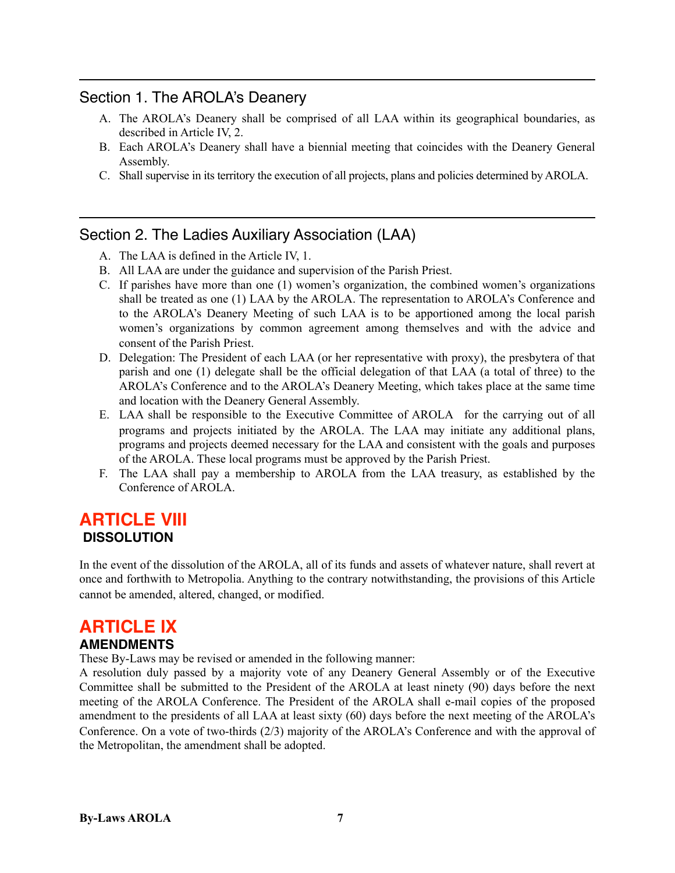## Section 1. The AROLA's Deanery

- A. The AROLA's Deanery shall be comprised of all LAA within its geographical boundaries, as described in Article IV, 2.
- B. Each AROLA's Deanery shall have a biennial meeting that coincides with the Deanery General Assembly.
- C. Shall supervise in its territory the execution of all projects, plans and policies determined by AROLA.

## Section 2. The Ladies Auxiliary Association (LAA)

- A. The LAA is defined in the Article IV, 1.
- B. All LAA are under the guidance and supervision of the Parish Priest.
- C. If parishes have more than one (1) women's organization, the combined women's organizations shall be treated as one (1) LAA by the AROLA. The representation to AROLA's Conference and to the AROLA's Deanery Meeting of such LAA is to be apportioned among the local parish women's organizations by common agreement among themselves and with the advice and consent of the Parish Priest.
- D. Delegation: The President of each LAA (or her representative with proxy), the presbytera of that parish and one (1) delegate shall be the official delegation of that LAA (a total of three) to the AROLA's Conference and to the AROLA's Deanery Meeting, which takes place at the same time and location with the Deanery General Assembly.
- E. LAA shall be responsible to the Executive Committee of AROLA for the carrying out of all programs and projects initiated by the AROLA. The LAA may initiate any additional plans, programs and projects deemed necessary for the LAA and consistent with the goals and purposes of the AROLA. These local programs must be approved by the Parish Priest.
- F. The LAA shall pay a membership to AROLA from the LAA treasury, as established by the Conference of AROLA.

# **ARTICLE VIII DISSOLUTION**

In the event of the dissolution of the AROLA, all of its funds and assets of whatever nature, shall revert at once and forthwith to Metropolia. Anything to the contrary notwithstanding, the provisions of this Article cannot be amended, altered, changed, or modified.

# **ARTICLE IX**

## **AMENDMENTS**

These By-Laws may be revised or amended in the following manner:

A resolution duly passed by a majority vote of any Deanery General Assembly or of the Executive Committee shall be submitted to the President of the AROLA at least ninety (90) days before the next meeting of the AROLA Conference. The President of the AROLA shall e-mail copies of the proposed amendment to the presidents of all LAA at least sixty (60) days before the next meeting of the AROLA's Conference. On a vote of two-thirds (2/3) majority of the AROLA's Conference and with the approval of the Metropolitan, the amendment shall be adopted.